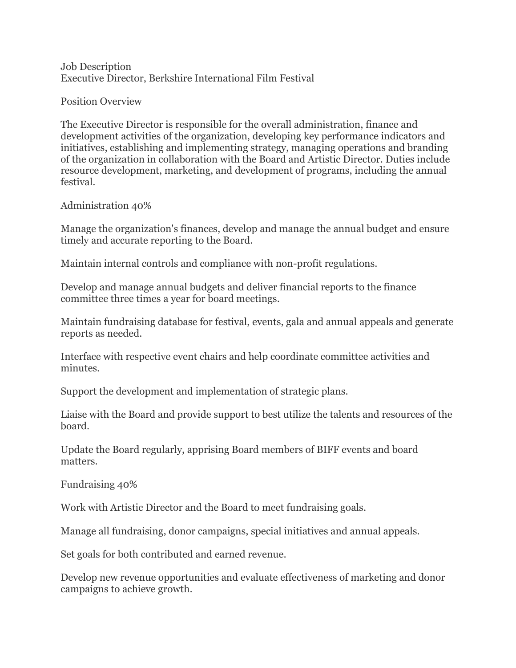Job Description Executive Director, Berkshire International Film Festival

Position Overview

The Executive Director is responsible for the overall administration, finance and development activities of the organization, developing key performance indicators and initiatives, establishing and implementing strategy, managing operations and branding of the organization in collaboration with the Board and Artistic Director. Duties include resource development, marketing, and development of programs, including the annual festival.

Administration 40%

Manage the organization's finances, develop and manage the annual budget and ensure timely and accurate reporting to the Board.

Maintain internal controls and compliance with non-profit regulations.

Develop and manage annual budgets and deliver financial reports to the finance committee three times a year for board meetings.

Maintain fundraising database for festival, events, gala and annual appeals and generate reports as needed.

Interface with respective event chairs and help coordinate committee activities and minutes.

Support the development and implementation of strategic plans.

Liaise with the Board and provide support to best utilize the talents and resources of the board.

Update the Board regularly, apprising Board members of BIFF events and board matters.

Fundraising 40%

Work with Artistic Director and the Board to meet fundraising goals.

Manage all fundraising, donor campaigns, special initiatives and annual appeals.

Set goals for both contributed and earned revenue.

Develop new revenue opportunities and evaluate effectiveness of marketing and donor campaigns to achieve growth.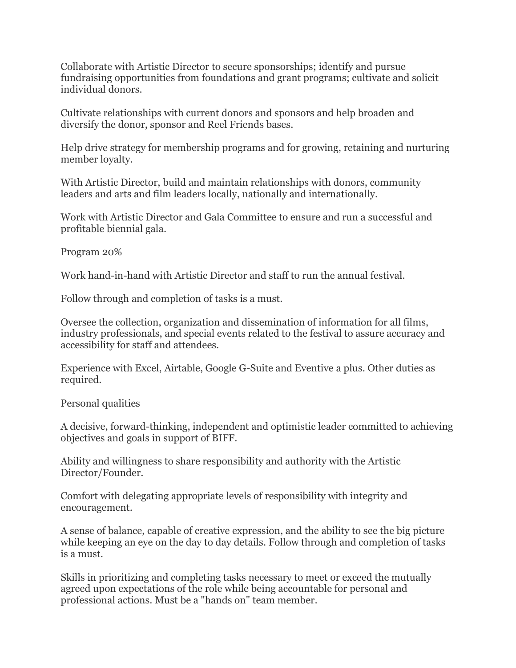Collaborate with Artistic Director to secure sponsorships; identify and pursue fundraising opportunities from foundations and grant programs; cultivate and solicit individual donors.

Cultivate relationships with current donors and sponsors and help broaden and diversify the donor, sponsor and Reel Friends bases.

Help drive strategy for membership programs and for growing, retaining and nurturing member loyalty.

With Artistic Director, build and maintain relationships with donors, community leaders and arts and film leaders locally, nationally and internationally.

Work with Artistic Director and Gala Committee to ensure and run a successful and profitable biennial gala.

Program 20%

Work hand-in-hand with Artistic Director and staff to run the annual festival.

Follow through and completion of tasks is a must.

Oversee the collection, organization and dissemination of information for all films, industry professionals, and special events related to the festival to assure accuracy and accessibility for staff and attendees.

Experience with Excel, Airtable, Google G-Suite and Eventive a plus. Other duties as required.

Personal qualities

A decisive, forward-thinking, independent and optimistic leader committed to achieving objectives and goals in support of BIFF.

Ability and willingness to share responsibility and authority with the Artistic Director/Founder.

Comfort with delegating appropriate levels of responsibility with integrity and encouragement.

A sense of balance, capable of creative expression, and the ability to see the big picture while keeping an eye on the day to day details. Follow through and completion of tasks is a must.

Skills in prioritizing and completing tasks necessary to meet or exceed the mutually agreed upon expectations of the role while being accountable for personal and professional actions. Must be a "hands on" team member.